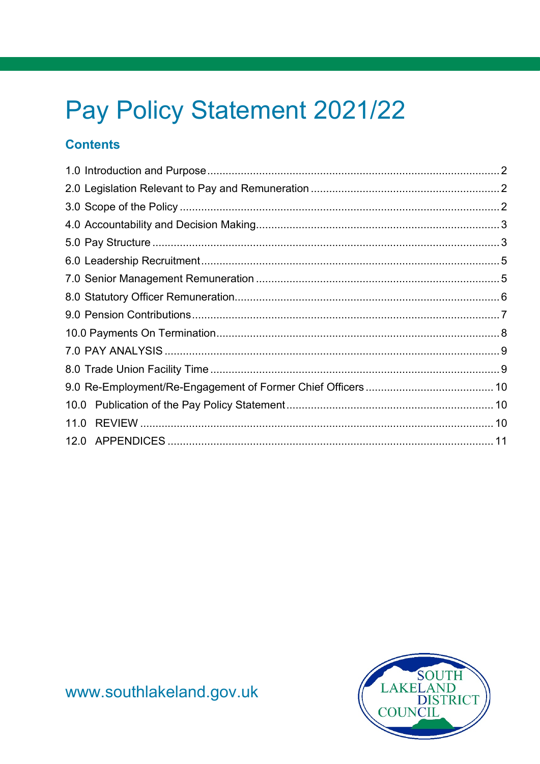# Pay Policy Statement 2021/22

#### **Contents**

<span id="page-0-0"></span>

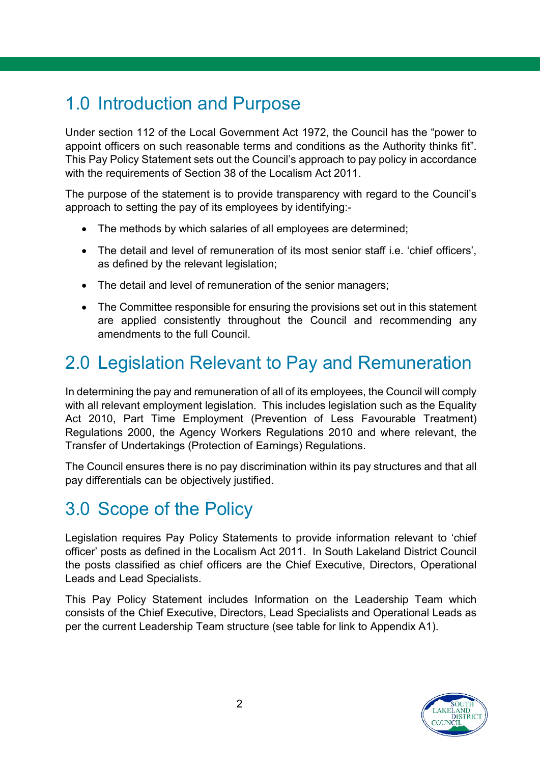# 1.0 Introduction and Purpose

Under section 112 of the Local Government Act 1972, the Council has the "power to appoint officers on such reasonable terms and conditions as the Authority thinks fit". This Pay Policy Statement sets out the Council's approach to pay policy in accordance with the requirements of Section 38 of the Localism Act 2011.

The purpose of the statement is to provide transparency with regard to the Council's approach to setting the pay of its employees by identifying:-

- The methods by which salaries of all employees are determined;
- The detail and level of remuneration of its most senior staff i.e. 'chief officers', as defined by the relevant legislation;
- The detail and level of remuneration of the senior managers;
- The Committee responsible for ensuring the provisions set out in this statement are applied consistently throughout the Council and recommending any amendments to the full Council.

# <span id="page-1-0"></span>2.0 Legislation Relevant to Pay and Remuneration

In determining the pay and remuneration of all of its employees, the Council will comply with all relevant employment legislation. This includes legislation such as the Equality Act 2010, Part Time Employment (Prevention of Less Favourable Treatment) Regulations 2000, the Agency Workers Regulations 2010 and where relevant, the Transfer of Undertakings (Protection of Earnings) Regulations.

The Council ensures there is no pay discrimination within its pay structures and that all pay differentials can be objectively justified.

# <span id="page-1-1"></span>3.0 Scope of the Policy

Legislation requires Pay Policy Statements to provide information relevant to 'chief officer' posts as defined in the Localism Act 2011. In South Lakeland District Council the posts classified as chief officers are the Chief Executive, Directors, Operational Leads and Lead Specialists.

This Pay Policy Statement includes Information on the Leadership Team which consists of the Chief Executive, Directors, Lead Specialists and Operational Leads as per the current Leadership Team structure (see table for link to Appendix A1).

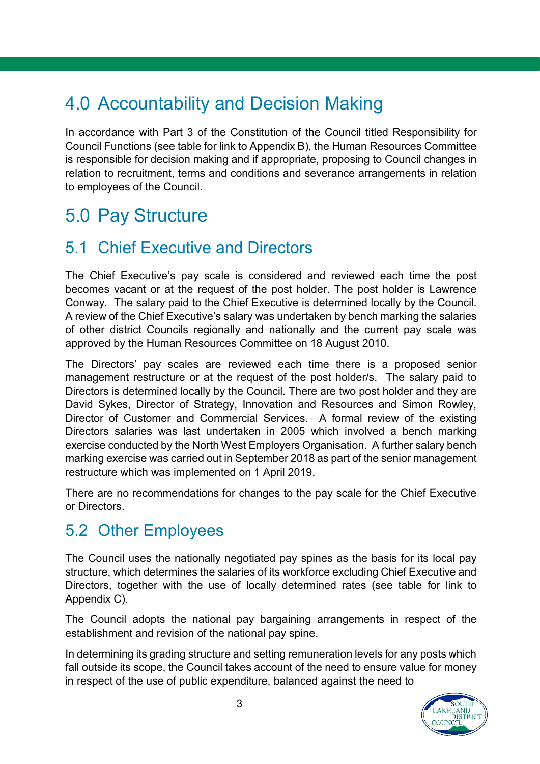# <span id="page-2-0"></span>4.0 Accountability and Decision Making

In accordance with Part 3 of the Constitution of the Council titled Responsibility for Council Functions (see table for link to Appendix B), the Human Resources Committee is responsible for decision making and if appropriate, proposing to Council changes in relation to recruitment, terms and conditions and severance arrangements in relation to employees of the Council.

# <span id="page-2-1"></span>5.0 Pay Structure

#### 5.1 Chief Executive and Directors

The Chief Executive's pay scale is considered and reviewed each time the post becomes vacant or at the request of the post holder. The post holder is Lawrence Conway. The salary paid to the Chief Executive is determined locally by the Council. A review of the Chief Executive's salary was undertaken by bench marking the salaries of other district Councils regionally and nationally and the current pay scale was approved by the Human Resources Committee on 18 August 2010.

The Directors' pay scales are reviewed each time there is a proposed senior management restructure or at the request of the post holder/s. The salary paid to Directors is determined locally by the Council. There are two post holder and they are David Sykes, Director of Strategy, Innovation and Resources and Simon Rowley, Director of Customer and Commercial Services. A formal review of the existing Directors salaries was last undertaken in 2005 which involved a bench marking exercise conducted by the North West Employers Organisation. A further salary bench marking exercise was carried out in September 2018 as part of the senior management restructure which was implemented on 1 April 2019.

There are no recommendations for changes to the pay scale for the Chief Executive or Directors.

#### 5.2 Other Employees

The Council uses the nationally negotiated pay spines as the basis for its local pay structure, which determines the salaries of its workforce excluding Chief Executive and Directors, together with the use of locally determined rates (see table for link to Appendix C).

The Council adopts the national pay bargaining arrangements in respect of the establishment and revision of the national pay spine.

In determining its grading structure and setting remuneration levels for any posts which fall outside its scope, the Council takes account of the need to ensure value for money in respect of the use of public expenditure, balanced against the need to

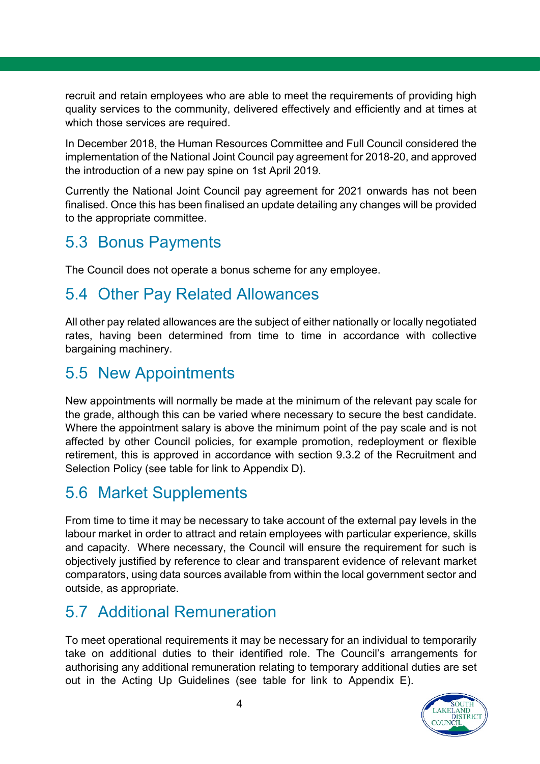recruit and retain employees who are able to meet the requirements of providing high quality services to the community, delivered effectively and efficiently and at times at which those services are required.

In December 2018, the Human Resources Committee and Full Council considered the implementation of the National Joint Council pay agreement for 2018-20, and approved the introduction of a new pay spine on 1st April 2019.

Currently the National Joint Council pay agreement for 2021 onwards has not been finalised. Once this has been finalised an update detailing any changes will be provided to the appropriate committee.

### 5.3 Bonus Payments

The Council does not operate a bonus scheme for any employee.

#### 5.4 Other Pay Related Allowances

All other pay related allowances are the subject of either nationally or locally negotiated rates, having been determined from time to time in accordance with collective bargaining machinery.

#### 5.5 New Appointments

New appointments will normally be made at the minimum of the relevant pay scale for the grade, although this can be varied where necessary to secure the best candidate. Where the appointment salary is above the minimum point of the pay scale and is not affected by other Council policies, for example promotion, redeployment or flexible retirement, this is approved in accordance with section 9.3.2 of the Recruitment and Selection Policy (see table for link to Appendix D).

#### 5.6 Market Supplements

From time to time it may be necessary to take account of the external pay levels in the labour market in order to attract and retain employees with particular experience, skills and capacity. Where necessary, the Council will ensure the requirement for such is objectively justified by reference to clear and transparent evidence of relevant market comparators, using data sources available from within the local government sector and outside, as appropriate.

#### 5.7 Additional Remuneration

To meet operational requirements it may be necessary for an individual to temporarily take on additional duties to their identified role. The Council's arrangements for authorising any additional remuneration relating to temporary additional duties are set out in the Acting Up Guidelines (see table for link to Appendix E).

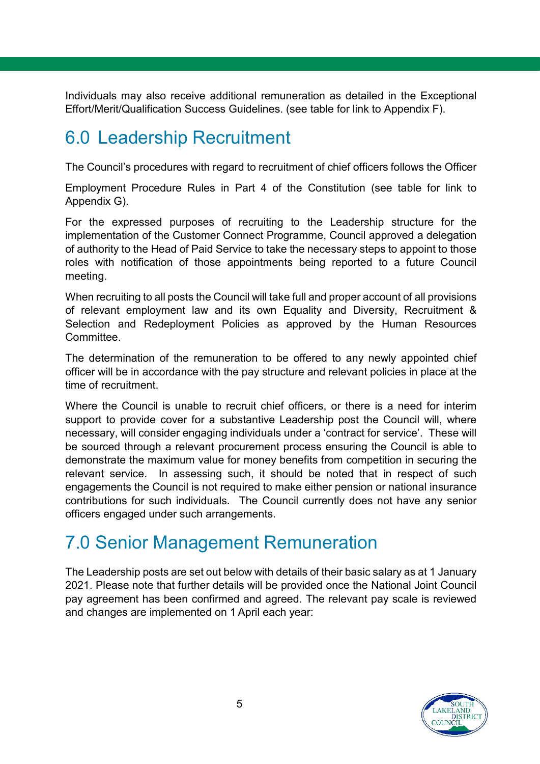Individuals may also receive additional remuneration as detailed in the Exceptional Effort/Merit/Qualification Success Guidelines. (see table for link to Appendix F).

### <span id="page-4-0"></span>6.0 Leadership Recruitment

The Council's procedures with regard to recruitment of chief officers follows the Officer

Employment Procedure Rules in Part 4 of the Constitution (see table for link to Appendix G).

For the expressed purposes of recruiting to the Leadership structure for the implementation of the Customer Connect Programme, Council approved a delegation of authority to the Head of Paid Service to take the necessary steps to appoint to those roles with notification of those appointments being reported to a future Council meeting.

When recruiting to all posts the Council will take full and proper account of all provisions of relevant employment law and its own Equality and Diversity, Recruitment & Selection and Redeployment Policies as approved by the Human Resources **Committee.** 

The determination of the remuneration to be offered to any newly appointed chief officer will be in accordance with the pay structure and relevant policies in place at the time of recruitment.

Where the Council is unable to recruit chief officers, or there is a need for interim support to provide cover for a substantive Leadership post the Council will, where necessary, will consider engaging individuals under a 'contract for service'. These will be sourced through a relevant procurement process ensuring the Council is able to demonstrate the maximum value for money benefits from competition in securing the relevant service. In assessing such, it should be noted that in respect of such engagements the Council is not required to make either pension or national insurance contributions for such individuals. The Council currently does not have any senior officers engaged under such arrangements.

# <span id="page-4-1"></span>7.0 Senior Management Remuneration

The Leadership posts are set out below with details of their basic salary as at 1 January 2021. Please note that further details will be provided once the National Joint Council pay agreement has been confirmed and agreed. The relevant pay scale is reviewed and changes are implemented on 1 April each year:

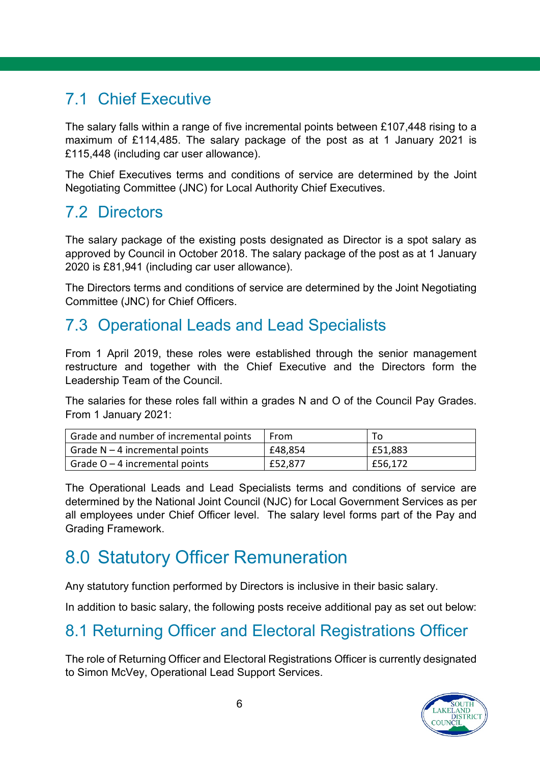### 7.1 Chief Executive

The salary falls within a range of five incremental points between £107,448 rising to a maximum of £114,485. The salary package of the post as at 1 January 2021 is £115,448 (including car user allowance).

The Chief Executives terms and conditions of service are determined by the Joint Negotiating Committee (JNC) for Local Authority Chief Executives.

### 7.2 Directors

The salary package of the existing posts designated as Director is a spot salary as approved by Council in October 2018. The salary package of the post as at 1 January 2020 is £81,941 (including car user allowance).

The Directors terms and conditions of service are determined by the Joint Negotiating Committee (JNC) for Chief Officers.

#### 7.3 Operational Leads and Lead Specialists

From 1 April 2019, these roles were established through the senior management restructure and together with the Chief Executive and the Directors form the Leadership Team of the Council.

The salaries for these roles fall within a grades N and O of the Council Pay Grades. From 1 January 2021:

| Grade and number of incremental points | From    |         |
|----------------------------------------|---------|---------|
| Grade $N-4$ incremental points         | £48,854 | E51,883 |
| Grade $O - 4$ incremental points       | £52,877 | £56,172 |

The Operational Leads and Lead Specialists terms and conditions of service are determined by the National Joint Council (NJC) for Local Government Services as per all employees under Chief Officer level. The salary level forms part of the Pay and Grading Framework.

# <span id="page-5-0"></span>8.0 Statutory Officer Remuneration

Any statutory function performed by Directors is inclusive in their basic salary.

In addition to basic salary, the following posts receive additional pay as set out below:

# 8.1 Returning Officer and Electoral Registrations Officer

The role of Returning Officer and Electoral Registrations Officer is currently designated to Simon McVey, Operational Lead Support Services.

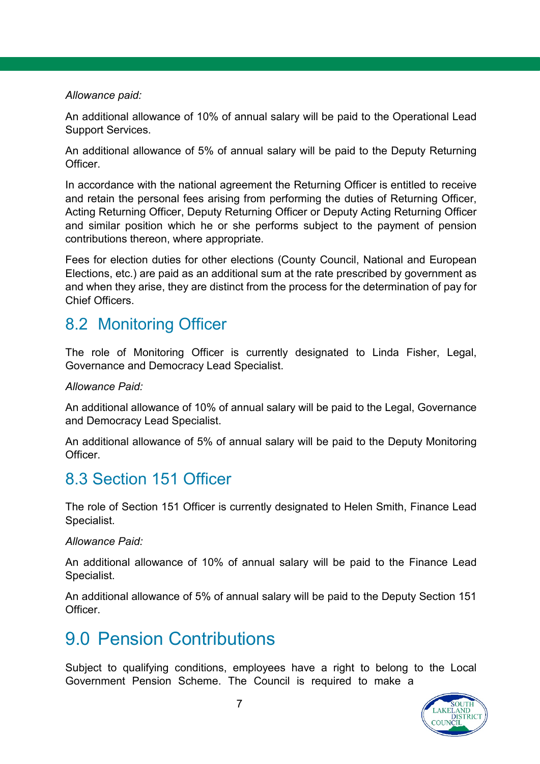#### *Allowance paid:*

An additional allowance of 10% of annual salary will be paid to the Operational Lead Support Services.

An additional allowance of 5% of annual salary will be paid to the Deputy Returning **Officer** 

In accordance with the national agreement the Returning Officer is entitled to receive and retain the personal fees arising from performing the duties of Returning Officer, Acting Returning Officer, Deputy Returning Officer or Deputy Acting Returning Officer and similar position which he or she performs subject to the payment of pension contributions thereon, where appropriate.

Fees for election duties for other elections (County Council, National and European Elections, etc.) are paid as an additional sum at the rate prescribed by government as and when they arise, they are distinct from the process for the determination of pay for Chief Officers.

#### 8.2 Monitoring Officer

The role of Monitoring Officer is currently designated to Linda Fisher, Legal, Governance and Democracy Lead Specialist.

#### *Allowance Paid:*

An additional allowance of 10% of annual salary will be paid to the Legal, Governance and Democracy Lead Specialist.

An additional allowance of 5% of annual salary will be paid to the Deputy Monitoring Officer.

#### 8.3 Section 151 Officer

The role of Section 151 Officer is currently designated to Helen Smith, Finance Lead Specialist.

#### *Allowance Paid:*

An additional allowance of 10% of annual salary will be paid to the Finance Lead Specialist.

An additional allowance of 5% of annual salary will be paid to the Deputy Section 151 Officer.

### <span id="page-6-0"></span>9.0 Pension Contributions

Subject to qualifying conditions, employees have a right to belong to the Local Government Pension Scheme. The Council is required to make a

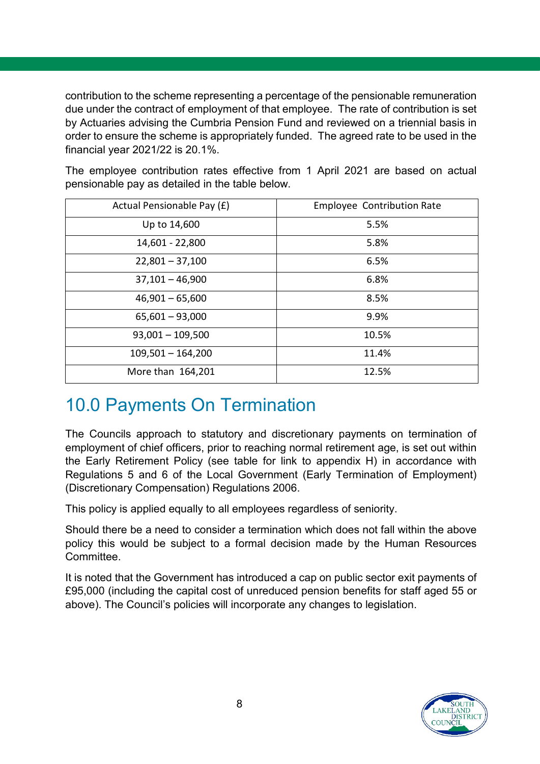contribution to the scheme representing a percentage of the pensionable remuneration due under the contract of employment of that employee. The rate of contribution is set by Actuaries advising the Cumbria Pension Fund and reviewed on a triennial basis in order to ensure the scheme is appropriately funded. The agreed rate to be used in the financial year 2021/22 is 20.1%.

The employee contribution rates effective from 1 April 2021 are based on actual pensionable pay as detailed in the table below.

| Actual Pensionable Pay (£) | <b>Employee Contribution Rate</b> |
|----------------------------|-----------------------------------|
| Up to 14,600               | 5.5%                              |
| 14,601 - 22,800            | 5.8%                              |
| $22,801 - 37,100$          | 6.5%                              |
| $37,101 - 46,900$          | 6.8%                              |
| $46,901 - 65,600$          | 8.5%                              |
| $65,601 - 93,000$          | 9.9%                              |
| $93,001 - 109,500$         | 10.5%                             |
| $109,501 - 164,200$        | 11.4%                             |
| More than 164,201          | 12.5%                             |

# <span id="page-7-0"></span>10.0 Payments On Termination

The Councils approach to statutory and discretionary payments on termination of employment of chief officers, prior to reaching normal retirement age, is set out within the Early Retirement Policy (see table for link to appendix H) in accordance with Regulations 5 and 6 of the Local Government (Early Termination of Employment) (Discretionary Compensation) Regulations 2006.

This policy is applied equally to all employees regardless of seniority.

Should there be a need to consider a termination which does not fall within the above policy this would be subject to a formal decision made by the Human Resources Committee.

It is noted that the Government has introduced a cap on public sector exit payments of £95,000 (including the capital cost of unreduced pension benefits for staff aged 55 or above). The Council's policies will incorporate any changes to legislation.

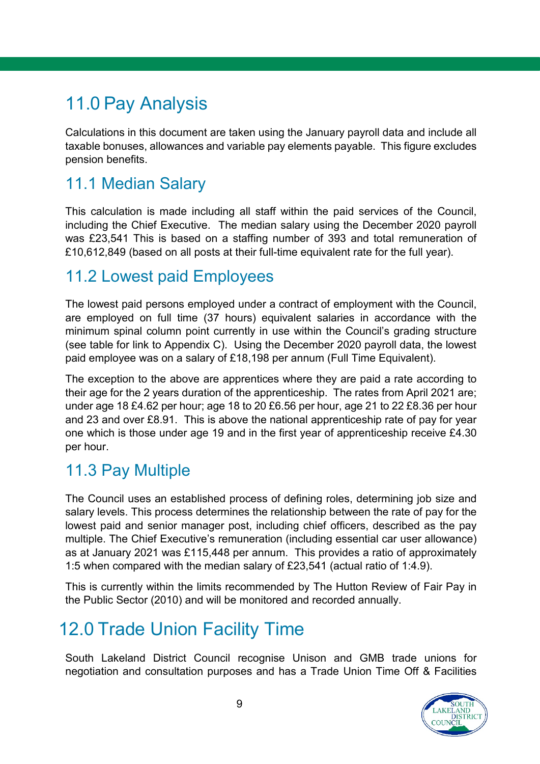# <span id="page-8-0"></span>11.0 Pay Analysis

Calculations in this document are taken using the January payroll data and include all taxable bonuses, allowances and variable pay elements payable. This figure excludes pension benefits.

#### 11.1 Median Salary

This calculation is made including all staff within the paid services of the Council, including the Chief Executive. The median salary using the December 2020 payroll was £23,541 This is based on a staffing number of 393 and total remuneration of £10,612,849 (based on all posts at their full-time equivalent rate for the full year).

#### 11.2 Lowest paid Employees

The lowest paid persons employed under a contract of employment with the Council, are employed on full time (37 hours) equivalent salaries in accordance with the minimum spinal column point currently in use within the Council's grading structure (see table for link to Appendix C). Using the December 2020 payroll data, the lowest paid employee was on a salary of £18,198 per annum (Full Time Equivalent).

The exception to the above are apprentices where they are paid a rate according to their age for the 2 years duration of the apprenticeship. The rates from April 2021 are; under age 18 £4.62 per hour; age 18 to 20 £6.56 per hour, age 21 to 22 £8.36 per hour and 23 and over £8.91. This is above the national apprenticeship rate of pay for year one which is those under age 19 and in the first year of apprenticeship receive £4.30 per hour.

#### 11.3 Pay Multiple

The Council uses an established process of defining roles, determining job size and salary levels. This process determines the relationship between the rate of pay for the lowest paid and senior manager post, including chief officers, described as the pay multiple. The Chief Executive's remuneration (including essential car user allowance) as at January 2021 was £115,448 per annum. This provides a ratio of approximately 1:5 when compared with the median salary of £23,541 (actual ratio of 1:4.9).

This is currently within the limits recommended by The Hutton Review of Fair Pay in the Public Sector (2010) and will be monitored and recorded annually.

# <span id="page-8-1"></span>12.0 Trade Union Facility Time

South Lakeland District Council recognise Unison and GMB trade unions for negotiation and consultation purposes and has a Trade Union Time Off & Facilities

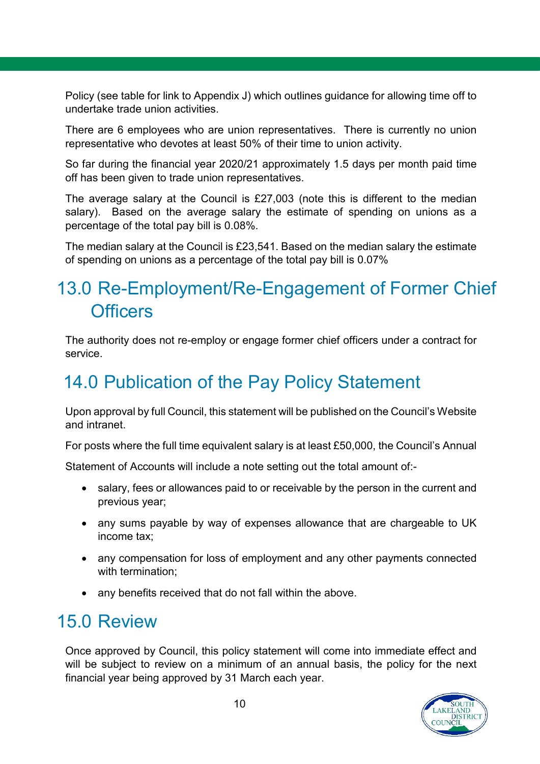Policy (see table for link to Appendix J) which outlines guidance for allowing time off to undertake trade union activities.

There are 6 employees who are union representatives. There is currently no union representative who devotes at least 50% of their time to union activity.

So far during the financial year 2020/21 approximately 1.5 days per month paid time off has been given to trade union representatives.

The average salary at the Council is £27,003 (note this is different to the median salary). Based on the average salary the estimate of spending on unions as a percentage of the total pay bill is 0.08%.

The median salary at the Council is £23,541. Based on the median salary the estimate of spending on unions as a percentage of the total pay bill is 0.07%

# <span id="page-9-0"></span>13.0 Re-Employment/Re-Engagement of Former Chief **Officers**

The authority does not re-employ or engage former chief officers under a contract for service.

# <span id="page-9-1"></span>14.0 Publication of the Pay Policy Statement

Upon approval by full Council, this statement will be published on the Council's Website and intranet.

For posts where the full time equivalent salary is at least £50,000, the Council's Annual

Statement of Accounts will include a note setting out the total amount of:-

- salary, fees or allowances paid to or receivable by the person in the current and previous year;
- any sums payable by way of expenses allowance that are chargeable to UK income tax;
- any compensation for loss of employment and any other payments connected with termination;
- any benefits received that do not fall within the above.

# <span id="page-9-2"></span>15.0 Review

Once approved by Council, this policy statement will come into immediate effect and will be subject to review on a minimum of an annual basis, the policy for the next financial year being approved by 31 March each year.

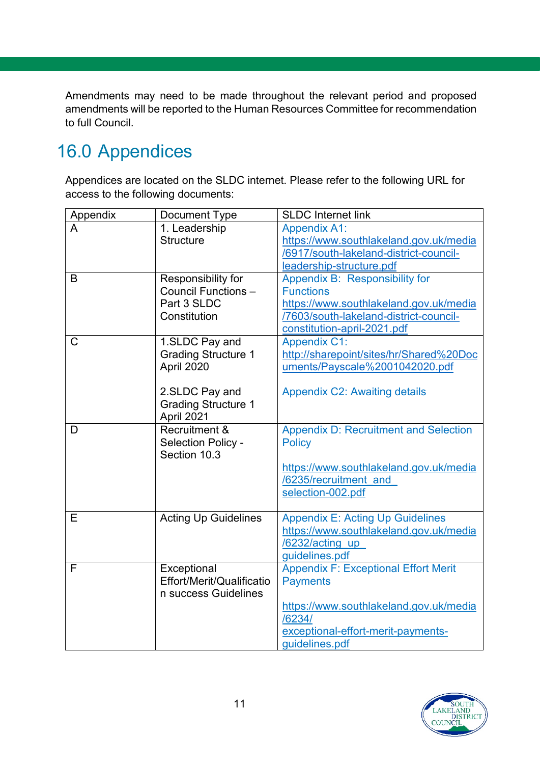Amendments may need to be made throughout the relevant period and proposed amendments will be reported to the Human Resources Committee for recommendation to full Council.

# <span id="page-10-0"></span>16.0 Appendices

Appendices are located on the SLDC internet. Please refer to the following URL for access to the following documents:

| Appendix | Document Type               | <b>SLDC Internet link</b>                    |
|----------|-----------------------------|----------------------------------------------|
|          | 1. Leadership               | <b>Appendix A1:</b>                          |
|          | <b>Structure</b>            | https://www.southlakeland.gov.uk/media       |
|          |                             | /6917/south-lakeland-district-council-       |
|          |                             | leadership-structure.pdf                     |
| B        | Responsibility for          | Appendix B: Responsibility for               |
|          | Council Functions -         | <b>Functions</b>                             |
|          | Part 3 SLDC                 | https://www.southlakeland.gov.uk/media       |
|          | Constitution                | /7603/south-lakeland-district-council-       |
|          |                             | constitution-april-2021.pdf                  |
| C        | 1.SLDC Pay and              | <b>Appendix C1:</b>                          |
|          | <b>Grading Structure 1</b>  | http://sharepoint/sites/hr/Shared%20Doc      |
|          | April 2020                  | uments/Payscale%2001042020.pdf               |
|          |                             |                                              |
|          | 2.SLDC Pay and              | <b>Appendix C2: Awaiting details</b>         |
|          | <b>Grading Structure 1</b>  |                                              |
|          | April 2021                  |                                              |
| D        | Recruitment &               | <b>Appendix D: Recruitment and Selection</b> |
|          | Selection Policy -          | <b>Policy</b>                                |
|          | Section 10.3                |                                              |
|          |                             | https://www.southlakeland.gov.uk/media       |
|          |                             | /6235/recruitment and                        |
|          |                             | selection-002.pdf                            |
|          |                             |                                              |
| Е        | <b>Acting Up Guidelines</b> | <b>Appendix E: Acting Up Guidelines</b>      |
|          |                             | https://www.southlakeland.gov.uk/media       |
|          |                             | /6232/acting up                              |
|          |                             | guidelines.pdf                               |
| F        | Exceptional                 | <b>Appendix F: Exceptional Effort Merit</b>  |
|          | Effort/Merit/Qualificatio   | <b>Payments</b>                              |
|          | n success Guidelines        |                                              |
|          |                             | https://www.southlakeland.gov.uk/media       |
|          |                             | /6234/                                       |
|          |                             | exceptional-effort-merit-payments-           |
|          |                             | guidelines.pdf                               |